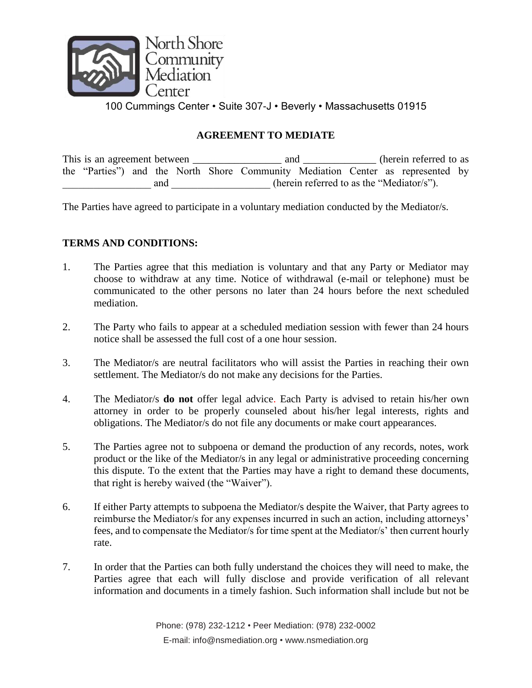

## **AGREEMENT TO MEDIATE**

This is an agreement between \_\_\_\_\_\_\_\_\_\_\_\_\_\_\_\_\_\_ and \_\_\_\_\_\_\_\_\_\_\_\_ (herein referred to as the "Parties") and the North Shore Community Mediation Center as represented by and  $(herein referred to as the "Mediator/s").$ 

The Parties have agreed to participate in a voluntary mediation conducted by the Mediator/s.

## **TERMS AND CONDITIONS:**

- 1. The Parties agree that this mediation is voluntary and that any Party or Mediator may choose to withdraw at any time. Notice of withdrawal (e-mail or telephone) must be communicated to the other persons no later than 24 hours before the next scheduled mediation.
- 2. The Party who fails to appear at a scheduled mediation session with fewer than 24 hours notice shall be assessed the full cost of a one hour session.
- 3. The Mediator/s are neutral facilitators who will assist the Parties in reaching their own settlement. The Mediator/s do not make any decisions for the Parties.
- 4. The Mediator/s **do not** offer legal advice. Each Party is advised to retain his/her own attorney in order to be properly counseled about his/her legal interests, rights and obligations. The Mediator/s do not file any documents or make court appearances.
- 5. The Parties agree not to subpoena or demand the production of any records, notes, work product or the like of the Mediator/s in any legal or administrative proceeding concerning this dispute. To the extent that the Parties may have a right to demand these documents, that right is hereby waived (the "Waiver").
- 6. If either Party attempts to subpoena the Mediator/s despite the Waiver, that Party agrees to reimburse the Mediator/s for any expenses incurred in such an action, including attorneys' fees, and to compensate the Mediator/s for time spent at the Mediator/s' then current hourly rate.
- 7. In order that the Parties can both fully understand the choices they will need to make, the Parties agree that each will fully disclose and provide verification of all relevant information and documents in a timely fashion. Such information shall include but not be